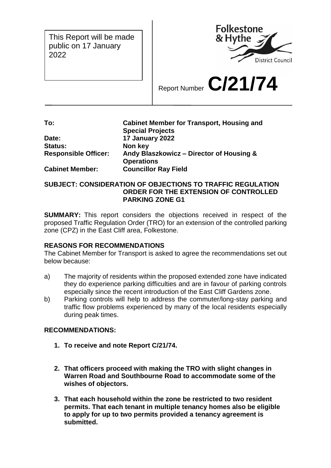This Report will be made public on 17 January 2022



Report Number **C/21/74**

**To: Cabinet Member for Transport, Housing and Special Projects Date: 17 January 2022 Status: Non key Responsible Officer: Andy Blaszkowicz – Director of Housing & Operations Cabinet Member: Councillor Ray Field**

## **SUBJECT: CONSIDERATION OF OBJECTIONS TO TRAFFIC REGULATION ORDER FOR THE EXTENSION OF CONTROLLED PARKING ZONE G1**

**SUMMARY:** This report considers the objections received in respect of the proposed Traffic Regulation Order (TRO) for an extension of the controlled parking zone (CPZ) in the East Cliff area, Folkestone.

# **REASONS FOR RECOMMENDATIONS**

The Cabinet Member for Transport is asked to agree the recommendations set out below because:

- a) The majority of residents within the proposed extended zone have indicated they do experience parking difficulties and are in favour of parking controls especially since the recent introduction of the East Cliff Gardens zone.
- b) Parking controls will help to address the commuter/long-stay parking and traffic flow problems experienced by many of the local residents especially during peak times.

## **RECOMMENDATIONS:**

- **1. To receive and note Report C/21/74.**
- **2. That officers proceed with making the TRO with slight changes in Warren Road and Southbourne Road to accommodate some of the wishes of objectors.**
- **3. That each household within the zone be restricted to two resident permits. That each tenant in multiple tenancy homes also be eligible to apply for up to two permits provided a tenancy agreement is submitted.**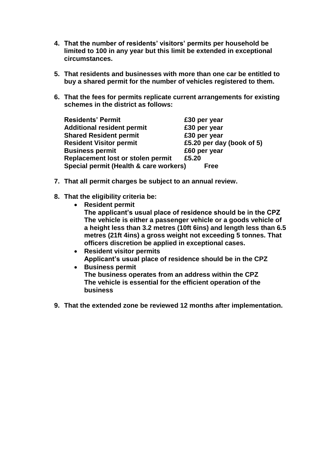- **4. That the number of residents' visitors' permits per household be limited to 100 in any year but this limit be extended in exceptional circumstances.**
- **5. That residents and businesses with more than one car be entitled to buy a shared permit for the number of vehicles registered to them.**
- **6. That the fees for permits replicate current arrangements for existing schemes in the district as follows:**

| <b>Residents' Permit</b>               | £30 per year              |
|----------------------------------------|---------------------------|
| <b>Additional resident permit</b>      | £30 per year              |
| <b>Shared Resident permit</b>          | £30 per year              |
| <b>Resident Visitor permit</b>         | £5.20 per day (book of 5) |
| <b>Business permit</b>                 | £60 per year              |
| Replacement lost or stolen permit      | £5.20                     |
| Special permit (Health & care workers) | <b>Free</b>               |

- **7. That all permit charges be subject to an annual review.**
- **8. That the eligibility criteria be:**
	- **Resident permit The applicant's usual place of residence should be in the CPZ The vehicle is either a passenger vehicle or a goods vehicle of a height less than 3.2 metres (10ft 6ins) and length less than 6.5 metres (21ft 4ins) a gross weight not exceeding 5 tonnes. That officers discretion be applied in exceptional cases.**
		- **Resident visitor permits Applicant's usual place of residence should be in the CPZ**
		- **Business permit The business operates from an address within the CPZ The vehicle is essential for the efficient operation of the business**
- **9. That the extended zone be reviewed 12 months after implementation.**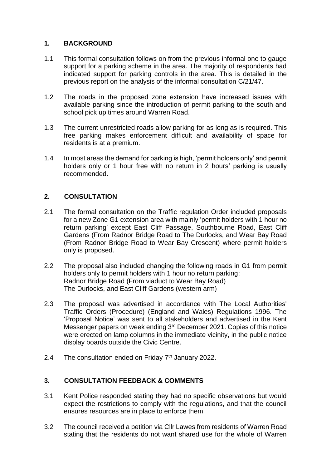## **1. BACKGROUND**

- 1.1 This formal consultation follows on from the previous informal one to gauge support for a parking scheme in the area. The majority of respondents had indicated support for parking controls in the area. This is detailed in the previous report on the analysis of the informal consultation C/21/47.
- 1.2 The roads in the proposed zone extension have increased issues with available parking since the introduction of permit parking to the south and school pick up times around Warren Road.
- 1.3 The current unrestricted roads allow parking for as long as is required. This free parking makes enforcement difficult and availability of space for residents is at a premium.
- 1.4 In most areas the demand for parking is high, 'permit holders only' and permit holders only or 1 hour free with no return in 2 hours' parking is usually recommended.

# **2. CONSULTATION**

- 2.1 The formal consultation on the Traffic regulation Order included proposals for a new Zone G1 extension area with mainly 'permit holders with 1 hour no return parking' except East Cliff Passage, Southbourne Road, East Cliff Gardens (From Radnor Bridge Road to The Durlocks, and Wear Bay Road (From Radnor Bridge Road to Wear Bay Crescent) where permit holders only is proposed.
- 2.2 The proposal also included changing the following roads in G1 from permit holders only to permit holders with 1 hour no return parking: Radnor Bridge Road (From viaduct to Wear Bay Road) The Durlocks, and East Cliff Gardens (western arm)
- 2.3 The proposal was advertised in accordance with The Local Authorities' Traffic Orders (Procedure) (England and Wales) Regulations 1996. The 'Proposal Notice' was sent to all stakeholders and advertised in the Kent Messenger papers on week ending 3<sup>rd</sup> December 2021. Copies of this notice were erected on lamp columns in the immediate vicinity, in the public notice display boards outside the Civic Centre.
- 2.4 The consultation ended on Friday  $7<sup>th</sup>$  January 2022.

# **3. CONSULTATION FEEDBACK & COMMENTS**

- 3.1 Kent Police responded stating they had no specific observations but would expect the restrictions to comply with the regulations, and that the council ensures resources are in place to enforce them.
- 3.2 The council received a petition via Cllr Lawes from residents of Warren Road stating that the residents do not want shared use for the whole of Warren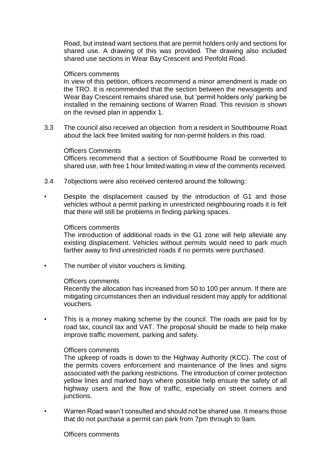Road, but instead want sections that are permit holders only and sections for shared use. A drawing of this was provided. The drawing also included shared use sections in Wear Bay Crescent and Penfold Road.

#### Officers comments

In view of this petition, officers recommend a minor amendment is made on the TRO. It is recommended that the section between the newsagents and Wear Bay Crescent remains shared use, but 'permit holders only' parking be installed in the remaining sections of Warren Road. This revision is shown on the revised plan in appendix 1.

3.3 The council also received an objection from a resident in Southbourne Road about the lack free limited waiting for non-permit holders in this road.

#### Officers Comments

Officers recommend that a section of Southbourne Road be converted to shared use, with free 1 hour limited waiting in view of the comments received.

- 3.4 7objections were also received centered around the following:
- Despite the displacement caused by the introduction of G1 and those vehicles without a permit parking in unrestricted neighbouring roads it is felt that there will still be problems in finding parking spaces.

#### Officers comments

The introduction of additional roads in the G1 zone will help alleviate any existing displacement. Vehicles without permits would need to park much farther away to find unrestricted roads if no permits were purchased.

The number of visitor vouchers is limiting.

### Officers comments

Recently the allocation has increased from 50 to 100 per annum. If there are mitigating circumstances then an individual resident may apply for additional vouchers.

This is a money making scheme by the council. The roads are paid for by road tax, council tax and VAT. The proposal should be made to help make improve traffic movement, parking and safety.

### Officers comments

The upkeep of roads is down to the Highway Authority (KCC). The cost of the permits covers enforcement and maintenance of the lines and signs associated with the parking restrictions. The introduction of corner protection yellow lines and marked bays where possible help ensure the safety of all highway users and the flow of traffic, especially on street corners and junctions.

• Warren Road wasn't consulted and should not be shared use. It means those that do not purchase a permit can park from 7pm through to 9am.

Officers comments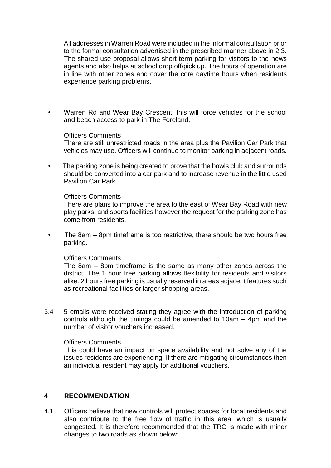All addresses in Warren Road were included in the informal consultation prior to the formal consultation advertised in the prescribed manner above in 2.3. The shared use proposal allows short term parking for visitors to the news agents and also helps at school drop off/pick up. The hours of operation are in line with other zones and cover the core daytime hours when residents experience parking problems.

• Warren Rd and Wear Bay Crescent: this will force vehicles for the school and beach access to park in The Foreland.

### Officers Comments

There are still unrestricted roads in the area plus the Pavilion Car Park that vehicles may use. Officers will continue to monitor parking in adjacent roads.

• The parking zone is being created to prove that the bowls club and surrounds should be converted into a car park and to increase revenue in the little used Pavilion Car Park.

### Officers Comments

There are plans to improve the area to the east of Wear Bay Road with new play parks, and sports facilities however the request for the parking zone has come from residents.

• The 8am – 8pm timeframe is too restrictive, there should be two hours free parking.

### Officers Comments

The 8am – 8pm timeframe is the same as many other zones across the district. The 1 hour free parking allows flexibility for residents and visitors alike. 2 hours free parking is usually reserved in areas adjacent features such as recreational facilities or larger shopping areas.

3.4 5 emails were received stating they agree with the introduction of parking controls although the timings could be amended to 10am – 4pm and the number of visitor vouchers increased.

### Officers Comments

This could have an impact on space availability and not solve any of the issues residents are experiencing. If there are mitigating circumstances then an individual resident may apply for additional vouchers.

## **4 RECOMMENDATION**

4.1 Officers believe that new controls will protect spaces for local residents and also contribute to the free flow of traffic in this area, which is usually congested. It is therefore recommended that the TRO is made with minor changes to two roads as shown below: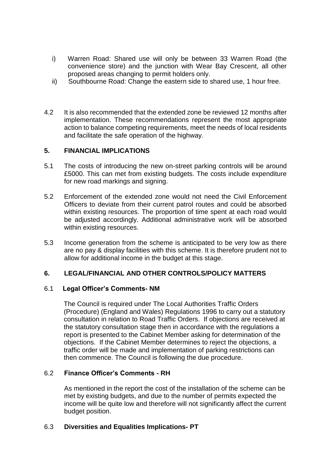- i) Warren Road: Shared use will only be between 33 Warren Road (the convenience store) and the junction with Wear Bay Crescent, all other proposed areas changing to permit holders only.
- ii) Southbourne Road: Change the eastern side to shared use, 1 hour free.
- 4.2 It is also recommended that the extended zone be reviewed 12 months after implementation. These recommendations represent the most appropriate action to balance competing requirements, meet the needs of local residents and facilitate the safe operation of the highway.

## **5. FINANCIAL IMPLICATIONS**

- 5.1 The costs of introducing the new on-street parking controls will be around £5000. This can met from existing budgets. The costs include expenditure for new road markings and signing.
- 5.2 Enforcement of the extended zone would not need the Civil Enforcement Officers to deviate from their current patrol routes and could be absorbed within existing resources. The proportion of time spent at each road would be adjusted accordingly. Additional administrative work will be absorbed within existing resources.
- 5.3 Income generation from the scheme is anticipated to be very low as there are no pay & display facilities with this scheme. It is therefore prudent not to allow for additional income in the budget at this stage.

## **6. LEGAL/FINANCIAL AND OTHER CONTROLS/POLICY MATTERS**

## 6.1 **Legal Officer's Comments- NM**

The Council is required under The Local Authorities Traffic Orders (Procedure) (England and Wales) Regulations 1996 to carry out a statutory consultation in relation to Road Traffic Orders. If objections are received at the statutory consultation stage then in accordance with the regulations a report is presented to the Cabinet Member asking for determination of the objections. If the Cabinet Member determines to reject the objections, a traffic order will be made and implementation of parking restrictions can then commence. The Council is following the due procedure.

## 6.2 **Finance Officer's Comments - RH**

As mentioned in the report the cost of the installation of the scheme can be met by existing budgets, and due to the number of permits expected the income will be quite low and therefore will not significantly affect the current budget position.

## 6.3 **Diversities and Equalities Implications- PT**